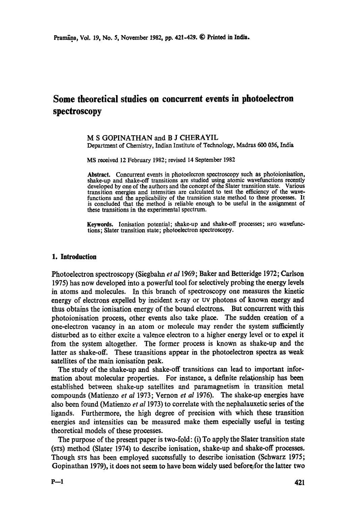# **Some theoretical studies on concurrent events in photoelectron spectroscopy**

#### M S GOPINATHAN and B J CHERAYIL Department of Chemistry, Indian Institute of Technology, Madras 600 036, India

MS received 12 February 1982; revised 14 September 1982

Abstract. Concurrent events in photoelecron spectroscopy such as photoionisation, shake-up and shake-off transitions are studied using atomic wavefunctions recently developed by one of the authors and the concept of the Slater transition state. Various transition energies and intensities are calculated to test the efficiency of the wavefunctions and the applicability of the transition state method to these processes. It is concluded that the method is reliable enough to be useful in the assignment of these transitions in the experimental spectrum.

Keywords. Ionisation potential; shake-up and shake-off processes; HFG wavefunctions; Slater transition state; photoelectron spectroscopy.

## **1. Introduction**

Photoelectron spectroscopy (Siegbalm *et a11969;* Baker and Betteridge 1972; Carlson 1975) has now developed into a powerful tool for selectively probing the energy levels in atoms and molecules. In this branch of spectroscopy one measures the kinetic energy of electrons expelled by incident x-ray or uv photons of known energy and thus obtains the ionisation energy of the bound electrons. But concurrent with this photoionisation process, other events also take place. The sudden creation of a one-electron vacancy in an atom or molecule may render the system sufficiently disturbed as to either excite a valence electron to a higher energy level or to expel it from the system altogether. The former process is known as shake-up and the latter as shake-off. These transitions appear in the photoelectron spectra as weak satellites of the main ionisation peak.

The study of the shake-up and shake-off transitions can lead to important information about molecular properties. For instance, a definite relationship has been established between shake-up satellites and paramagnetism in transition metal compounds (Matienzo *et al* 1973; Vernon *et al* 1976). The shake-up energies have also been found (Matienzo *et a11973)* to correlate with the nephalauxetic series of the ligands. Furthermore, the high degree of precision with which these transition energies and intensities can be measured make them especially useful in testing theoretical models of these processes.

The purpose of the present paper is two-fold: (i) To apply the Slater transition state (STS) method (Slater 1974) to describe ionisation, shake-up and shake-off processes. Though STS has been employed successfully to describe ionisation (Schwarz 1975; Gopinathan 1979), it does not seem to have been widely used before/for the latter two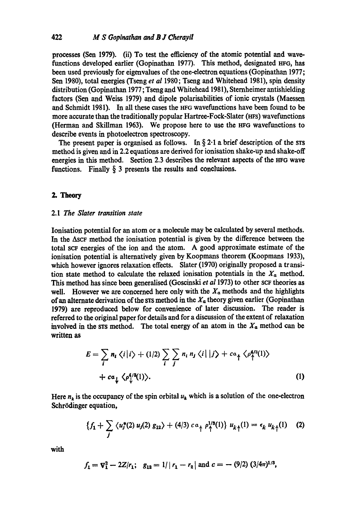processes (Sen 1979). (ii) To test the efficiency of the atomic potential and wavefunctions developed earlier (Gopinathan 1977). This method, designated HFG, has been used previously for eigenvalues of the one-electron equations (Gopinathan 1977; Sen 1980), total energies (Tseng *et al* 1980; Tseng and Whitehead 1981), spin density distribution (Gopinathan 1977; Tseng and Whitehead 1981), Sternheimer antishielding factors (Sen and Weiss 1979) and dipole polarisabilities of ionic crystals (Maessen and Schmidt 1981). In all these cases the HFG wavefunctions have been found to be more accurate than the traditionally popular Hartree-Fock-Slater (HFS) wavefunctions (Herman and Skillman 1963). We propose here to use the HFG wavefunctions to describe events in photoelectron spectroscopy.

The present paper is organised as follows. In  $\S 2$ -1 a brief description of the STS method is given and in 2.2 equations are derived for ionisation shake-up and shake-off energies in this method. Section 2.3 describes the relevant aspects of the HFG wave functions. Finally  $\S$  3 presents the results and conclusions.

## *2. Theory*

## 2.1 The *Slater transition state*

Ionisation potential for an atom or a molecule may be calculated by several methods. In the  $\Delta$ SCF method the ionisation potential is given by the difference between the total scr energies of the ion and the atom. A good approximate estimate of the ionisation potential is alternatively given by Koopmans theorem (Koopmans 1933), which however ignores relaxation effects. Slater (1970) originally proposed a transition state method to calculate the relaxed ionisation potentials in the  $X_{\alpha}$  method. This method has since been generalised (Goscinski et al 1973) to other scF theories as well. However we are concerned here only with the  $X_{\alpha}$  methods and the highlights of an alternate derivation of the srs method in the  $X_a$  theory given earlier (Gopinathan 1979) are reproduced below for convenience of later discussion. The reader is referred to the original paper for details and for a discussion of the extent of relaxation involved in the srs method. The total energy of an atom in the  $X_a$  method can be written as

$$
E = \sum_{i} n_{i} \langle i | i \rangle + (1/2) \sum_{i} \sum_{j} n_{i} n_{j} \langle i | j \rangle + c \alpha_{\uparrow} \langle \rho_{\uparrow}^{4/3}(1) \rangle
$$
  
+  $c \alpha_{\downarrow} \langle \rho_{\downarrow}^{4/3}(1) \rangle$ . (1)

Here  $n_k$  is the occupancy of the spin orbital  $u_k$  which is a solution of the one-electron Schrödinger equation,

$$
\{f_1 + \sum_j \langle u_j^*(2) u_j(2) g_{12} \rangle + (4/3) c \, a_{\uparrow} \, \rho_{\uparrow}^{1/3}(1) \} \, u_{k\uparrow}(1) = \epsilon_k \, u_{k\uparrow}(1) \quad (2)
$$

with

$$
f_1 = \nabla_1^2 - 2Z/r_1
$$
;  $g_{12} = 1/|r_1 - r_2|$  and  $c = -(9/2) (3/4\pi)^{1/3}$ ,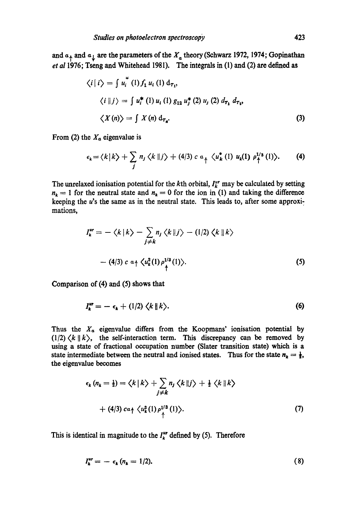and  $a<sub>+</sub>$  and  $a<sub>+</sub>$  are the parameters of the  $X<sub>a</sub>$  theory (Schwarz 1972, 1974; Gopinathan *et al* 1976; Tseng and Whitehead 1981). The integrals in (1) and (2) are defined as

$$
\langle i | i \rangle = \int u_i^{\dagger} (1) f_1 u_i (1) d_{\tau_1},
$$
  
\n
$$
\langle i | j \rangle = \int u_i^{\dagger} (1) u_i (1) g_{12} u_j^{\dagger} (2) u_j (2) d_{\tau_1} d_{\tau_1},
$$
  
\n
$$
\langle X(n) \rangle = \int X(n) d_{\tau_n}.
$$
  
\n(3)

From (2) the  $X_a$  eigenvalue is

$$
\epsilon_{k} = \langle k | k \rangle + \sum_{j} n_{j} \langle k | j \rangle + (4/3) c \alpha_{\uparrow} \langle u_{k}^{*}(1) u_{k}(1) \rho_{\uparrow}^{1/3}(1) \rangle. \tag{4}
$$

The unrelaxed ionisation potential for the kth orbital,  $I_k^{ur}$  may be calculated by setting  $n_k = 1$  for the neutral state and  $n_k = 0$  for the ion in (1) and taking the difference keeping the u's the same as in the neutral state. This leads to, after some approximations,

$$
I_k^{ur} = -\langle k | k \rangle - \sum_{j \neq k} n_j \langle k | j \rangle - (1/2) \langle k | k \rangle
$$
  
 
$$
- (4/3) c \alpha \uparrow \langle u_k^2(1) \rho_1^{1/3}(1) \rangle.
$$
 (5)

**Comparison of (4) and (5) shows that** 

$$
I_k^{\text{ur}} = -\epsilon_k + (1/2) \langle k \parallel k \rangle. \tag{6}
$$

Thus the  $X_{\alpha}$  eigenvalue differs from the Koopmans' ionisation potential by  $(1/2) \langle k | k \rangle$ , the self-interaction term. This discrepancy can be removed by using a state of fractional occupation number (Slater transition state) which is a state intermediate between the neutral and ionised states. Thus for the state  $n_k = \frac{1}{2}$ , the eigenvalue becomes

$$
\epsilon_k (n_k = \frac{1}{2}) = \langle k | k \rangle + \sum_{j \neq k} n_j \langle k | j \rangle + \frac{1}{2} \langle k | k \rangle
$$
  
+ (4/3)  $\alpha_1 \langle u_k^2(1) \rho_1^{1/3}(1) \rangle$ . (7)

This is identical in magnitude to the  $I_k^{\mu}$  defined by (5). Therefore

$$
I_k^{\text{ur}} = - \epsilon_k \left( n_k = 1/2 \right). \tag{8}
$$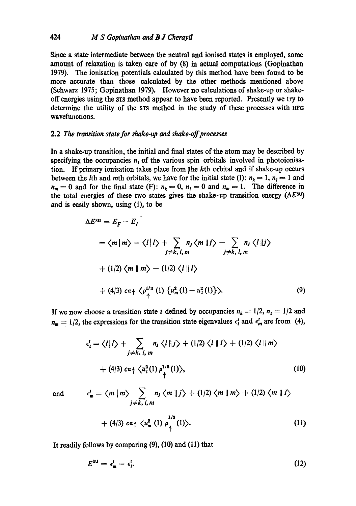**Since a state intermediate between the neutral and ionised states is employed, some**  amount of relaxation is taken care of by (8) in actual computations (Gopinathan 1979). The ionisation potentials calculated by this method have been found to be more accurate than those calculated by the other methods mentioned above (Schwarz 1975; Gopinathan 1979). However no calculations of shake-up or shakeoff energies using the srs method appear to have been reported. Presently we try to determine the utility of the STS method in the study of these processes with HFG wavefunctions.

# 2.2 *The transition state for shake-up and shake-off proeesses*

In a shake-up transition, the initial and final states of the atom may be described by specifying the occupancies  $n_i$  of the various spin orbitals involved in photoionisation. If primary ionisation takes place from the  $k$ th orbital and if shake-up occurs between the *l*th and *m*th orbitals, we have for the initial state (I):  $n_k = 1$ ,  $n_l = 1$  and  $n_m = 0$  and for the final state (F):  $n_k = 0$ ,  $n_l = 0$  and  $n_m = 1$ . The difference in the total energies of these two states gives the shake-up transition energy ( $\Delta E^{\text{su}}$ ) and is easily shown, using (1), to be

$$
\Delta E^{\text{su}} = E_F - E_I
$$
  
=  $\langle m | m \rangle - \langle l | l \rangle + \sum_{j \neq k, l, m} n_j \langle m | j \rangle - \sum_{j \neq k, l, m} n_j \langle l | j \rangle$   
+  $(1/2) \langle m | m \rangle - (1/2) \langle l | l \rangle$   
+  $(4/3) \alpha_1 \langle \rho_1^{1/3} (1) \{u_m^2 (1) - u_i^2 (1)\} \rangle.$  (9)

If we now choose a transition state t defined by occupancies  $n_k = 1/2$ ,  $n_i = 1/2$  and  $n_m = 1/2$ , the expressions for the transition state eigenvalues  $\epsilon_l^t$  and  $\epsilon_m^t$  are from (4),

$$
\epsilon_t^t = \langle l | l \rangle + \sum_{j \neq k, l, m} n_j \langle l | j \rangle + (1/2) \langle l | l \rangle + (1/2) \langle l | m \rangle
$$
  
+ (4/3)  $\alpha \gamma \langle u_i^2(1) \rho_1^{1/3}(1) \rangle$ , (10)

and 
$$
\epsilon_m^t = \langle m | m \rangle \sum_{j \neq k, l, m} n_j \langle m | j \rangle + (1/2) \langle m | m \rangle + (1/2) \langle m | l \rangle
$$

$$
+ (4/3) \, c a \uparrow \langle u_m^2 \, (1) \, \rho_{\lambda}^{1/3} \, (1) \rangle. \tag{11}
$$

It readily follows by comparing (9), (10) and (11) that

$$
E^{\rm SU} = \epsilon_{\rm m}^{\rm t} - \epsilon_{\rm l}^{\rm t}.\tag{12}
$$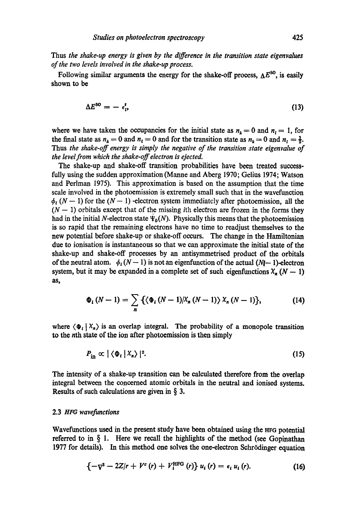Thus *the shake-up energy is given by the difference in the transition state eigenvalues of the two levels involved in the shake-up process.* 

Following similar arguments the energy for the shake-off process,  $\Delta E^{SO}$ , is easily shown to be

$$
\Delta E^{\rm SO} = -\epsilon_{\rm p}^t \tag{13}
$$

where we have taken the occupancies for the initial state as  $n_k = 0$  and  $n_l = 1$ , for the final state as  $n_k = 0$  and  $n_l = 0$  and for the transition state as  $n_k = 0$  and  $n_l = \frac{1}{2}$ . Thus *the shake-off energy is simply the negative of the transition state eigenvalue of the level from which the shake-off electron is ejected.* 

The shake-up and shake-off transition probabilities have been treated successfully using the sudden approximation (Manne and Aberg 1970; Gelius 1974; Watson and Perlman 1975). This approximation is based on the assumption that the time scale involved in the photoemission is extremely small such that in the wavefunction  $\phi_l$  (N --1) for the (N --1) -electron system immediately after photoemission, all the  $(N - 1)$  orbitals except that of the missing ith electron are frozen in the forms they had in the initial N-electron state  $\Psi_0(N)$ . Physically this means that the photoemission is so rapid that the remaining electrons have no time to readjust themselves to the new potential before shake-up or shake-off occurs. The change in the Hamiltonian due to ionisation is instantaneous so that we can approximate the initial state of the shake-up and shake-off processes by an antisymmetrised product of the orbitals of the neutral atom.  $\phi_i$  (N - 1) is not an eigenfunction of the actual (N $-$  1)-electron system, but it may be expanded in a complete set of such eigenfunctions  $X_n$  ( $N-1$ ) as,

$$
\Phi_t\left(N-1\right)=\sum_n \left\{\left\langle\Phi_t\left(N-1\right)\middle|X_n\left(N-1\right)\right\rangle X_n\left(N-1\right)\right\},\tag{14}
$$

where  $\langle \Phi_i | X_n \rangle$  is an overlap integral. The probability of a monopole transition to the nth state of the ion after photoemission is then simply

$$
P_{\text{in}} \propto |\langle \Phi_t | X_n \rangle|^2. \tag{15}
$$

The intensity of a shake-up transition can be calculated therefore from the overlap integral between the concerned atomic orbitals in the neutral and ionised systems. Results of such calculations are given in § 3.

## 2.3 *HFG wavefunctions*

Wavefunctions used in the present study have been obtained using the HFG potential referred to in  $\S$  1. Here we recall the highlights of the method (see Gopinathan 1977 for details). In this method one solves the one-electron Schrödinger equation

$$
\left\{-\nabla^2-2Z/r+V^c\left(r\right)+V_i^{\text{HFG}}\left(r\right)\right\}u_i\left(r\right)=\epsilon_i\,u_i\left(r\right). \tag{16}
$$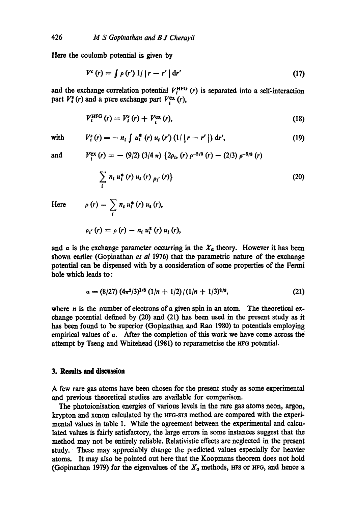Here the coulomb potential is given by

$$
V^{c}(r) = \int \rho(r') \, 1/|r - r'| \, dr' \tag{17}
$$

and the exchange correlation potential  $V_t^{\text{HFG}}(r)$  is separated into a self-interaction part  $V_i^{\bullet}(r)$  and a pure exchange part  $V_i^{\text{ex}}(r)$ ,

$$
V_t^{\text{HFG}}(r) = V_i^s(r) + V_i^{\text{ex}}(r), \qquad (18)
$$

with

$$
V_i^s(r) = - n_i \int u_i^* (r) u_i (r') (1/|r - r'|) dr', \qquad (19)
$$

and

$$
V_i^{\text{ex}}(r) = - (9/2) (3/4 \pi) (2\rho_i, (r) \rho^{-2/3} (r) - (2/3) \rho^{-5/3} (r)
$$

$$
\sum_{i} n_{i} u_{i}^{*} (r) u_{i} (r) p_{i'} (r) \}
$$
 (20)

Here 
$$
\rho(r) = \sum_i n_i u_i^*(r) u_i(r),
$$

$$
\rho_{i'}(r) = \rho(r) - n_i u_i^*(r) u_i(r),
$$

and  $\alpha$  is the exchange parameter occurring in the  $X_{\alpha}$  theory. However it has been shown earlier (Gopinathan *et al* 1976) that the parametric nature of the exchange potential can be dispensed with by a consideration of some properties of the Fermi hole which leads to:

$$
a = (8/27) (4\pi^2/3)^{1/3} (1/n + 1/2) / (1/n + 1/3)^{2/3}, \qquad (21)
$$

where *n* is the number of electrons of a given spin in an atom. The theoretical exchange potential defined by (20) and (21) has been used in the present study as it has been found to be superior (Gopinathan and Rao 1980) to potentials employing empirical values of a. After the completion of this work we have come across the attempt by Tseng and Whitehead (1981) to rcparametrise the HF6 potential.

## **3. Remits and discussion**

A few rare gas atoms have been chosen for the present study as some experimental and previous theoretical studies are available for comparison.

The photoionisation energies of various levels in the rare gas atoms neon, argon, krypton and xenon calculated by the HFO-STS method are compared with the experimental values in table I. While the agreement between the experimental and calculated values is fairly satisfactory, the large errors in some instances suggest that the method may not be entirely reliable. Relativistic effects are negiccted in the present study. These may appreciably change the predicted values especially for heavier atoms. It may also be pointed out here that the Koopmans theorem does not hold (Gopinathan 1979) for the eigenvalues of the  $X_a$  methods, HFs or HFG, and hence a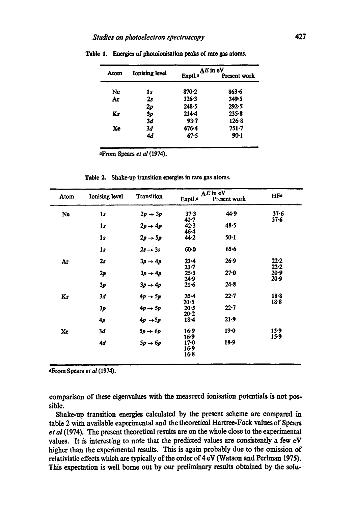|      | <b>Ionising level</b> | $\Delta E$ in eV    |              |  |
|------|-----------------------|---------------------|--------------|--|
| Atom |                       | Exptl. <sup>a</sup> | Present work |  |
| Ne   | 1s                    | $870 - 2$           | $863 - 6$    |  |
| Ar   | 2s                    | 326.3               | 349.5        |  |
|      | 2p                    | 248.5               | 292.5        |  |
| Kr   | 3p                    | $214 - 4$           | $235 - 8$    |  |
|      | 3d                    | $93 - 7$            | 126.8        |  |
| Xc   | 3d                    | $676 - 4$           | $751 - 7$    |  |
|      | 4d                    | 67.5                | $90-1$       |  |

Table 1. Energies of photoionisation peaks of rare gas atoms.

aFrom Spears *et al* (1974).

|      |                |                     |                              | $\Delta E$ in eV |                      |
|------|----------------|---------------------|------------------------------|------------------|----------------------|
| Atom | Ionising level | Transition          | Exptl. <sup>a</sup>          | Present work     | HF <sup>a</sup>      |
| Ne   | 1s             | $2p \rightarrow 3p$ | 37.3<br>$40 - 7$             | 44.9             | $37 - 6$<br>$37 - 6$ |
|      | 1s             | $2p \rightarrow 4p$ | 42.3<br>$46 - 4$             | $48 - 5$         |                      |
|      | 1s             | $2p \rightarrow 5p$ | 44.2                         | 50.1             |                      |
|      | 1s             | $2s \rightarrow 3s$ | $60 - 0$                     | $65 - 6$         |                      |
| Ar   | 2s             | $3p \rightarrow 4p$ | $23 - 4$<br>$23 - 7$         | 26.9             | $22 - 2$<br>$22 - 2$ |
|      | 2p             | $3p \rightarrow 4p$ | 25.3<br>24.9                 | $27 - 0$         | 20.9<br>$20-9$       |
|      | 3p             | $3p \rightarrow 4p$ | $21 - 6$                     | $24 - 8$         |                      |
| Kr   | 3d             | $4p \rightarrow 5p$ | $20 - 4$<br>20.5             | $22 - 7$         | $18-8$<br>$18-8$     |
|      | 3p             | $4p \rightarrow 5p$ | 20.5<br>$20 - 2$             | $22 - 7$         |                      |
|      | 4p             | $4p \rightarrow 5p$ | $18 - 4$                     | 21.9             |                      |
| Xc   | 3d             | $5p \rightarrow 6p$ | 16.9<br>16.9                 | $19 - 0$         | $15-9$<br>$15-9$     |
|      | 4d             | $5p \rightarrow 6p$ | $17 - 0$<br>16.9<br>$16 - 8$ | 18-9             |                      |

Table 2. Shake-up transition energies in rare gas atoms.

-From Spears *et al* (1974).

**comparison of these eigenvaIues with the measured ionisation potentials is not possible.** 

Shake-up transition energies calculated by the present scheme are compared in table 2 with available experimental and the theoretical Hartree-Fock values of Spears *et al* (1974). The present theoretical results are on the whole close to the experimental values. It is interesting to note that the predicted values are consistently a few eV higher than the experimental results. This is again probably due to the omission of relativistic effects which axe typically of the order of 4 eV (Watson and Perlman 1975). This expectation is well borne out by our preliminary results obtained by the solu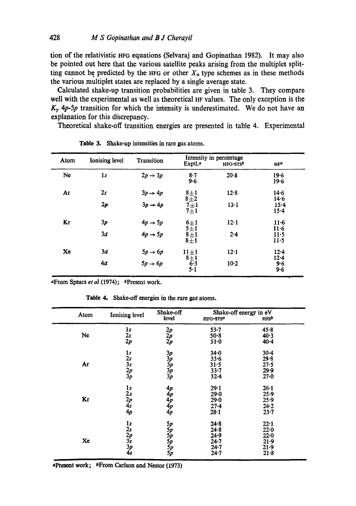tion of the relativistic HFG equations (Selvaraj and Gopinathan 1982). It may also be pointed out here that the various satellite peaks arising from the multiplet splitting cannot be predicted by the HFG or other  $X_{\alpha}$  type schemes as in these methods the various multiplet states are replaced by a single average state.

Calculated shake-up transition probabilities are given in table 3. They compare well with the experimental as well as theoretical HF values. The only exception is the *Kr 4p-5p* transition for which the intensity is underestimated. We do not have an explanation for this discrepancy.

Theoretical shake-off transition energies are presented in table 4. Experimental

| Atom | Ionising level | Transition          | Exptl. <sup>a</sup>  | Intensity in percentage<br>HFG-STS <sup>b</sup> | HF <sup>a</sup>      |
|------|----------------|---------------------|----------------------|-------------------------------------------------|----------------------|
| Ne   | 1 <sub>s</sub> | $2p \rightarrow 3p$ | $8-7$<br>9.6         | 20.8                                            | 19.6<br>19.6         |
| Ar   | 2s             | $3p \rightarrow 4p$ | $8 + 1$<br>$8 + 2$   | 12.8                                            | $14 - 6$<br>14.6     |
|      | 2p             | $3p \rightarrow 4p$ | $7\pm1$<br>$7 + 1$   | $13 - 1$                                        | 15:4<br>$15 - 4$     |
| Kr   | 3p             | $4p \rightarrow 5p$ | $6 + 1$<br>$5 \pm 1$ | $12 \cdot 1$                                    | $11-6$<br>11.6       |
|      | 3d             | $4p \rightarrow 5p$ | $8 + 1$<br>$8 + 1$   | 2.4                                             | 11.5<br>11.5         |
| Xe   | 3d             | $5p \rightarrow 6p$ | $11+1$<br>$8 + 1$    | $12 \cdot 1$                                    | $12 - 4$<br>$12 - 4$ |
|      | 4d             | $5p \rightarrow 6p$ | 6.3<br>5.1           | $10 - 2$                                        | $9 - 6$<br>$9 - 6$   |

Table 3. Shake-up intensities in rare gas atoms.

aFrom Spears et al (1974); bPresent work.

**Table 4.** Shake-off energies in the rare gag atoms.

|      |                |                                                  | Shake-off                                     | Shake-off energy in eV |              |  |
|------|----------------|--------------------------------------------------|-----------------------------------------------|------------------------|--------------|--|
| Atom | Ionising level | level                                            | HFG-STS <sup>4</sup>                          | HFS <sup>b</sup>       |              |  |
| Ne   |                | 1s                                               |                                               | 53.7                   | 45.8         |  |
|      | 2s             |                                                  | $50-8$                                        | 40.3                   |              |  |
|      | 2p             | $\begin{array}{c} 2p \ 2p \ 2p \ 2p \end{array}$ | 51.0                                          | $40 - 4$               |              |  |
|      | $\mathbf{1}s$  |                                                  | 34.0                                          | $30 - 4$               |              |  |
|      |                |                                                  | $33 - 6$                                      | 29.8                   |              |  |
|      | Ar             |                                                  |                                               | 31.5                   | 27.5         |  |
|      |                |                                                  | $33 - 7$                                      | 29.9                   |              |  |
|      |                | $2s$<br>$3s$<br>$2p$<br>$3p$                     | 3p<br>3p<br>3p<br>3p<br>3p                    | $32 - 4$               | $27 - 0$     |  |
|      |                | 1s                                               |                                               | 29.1                   | $26 - 1$     |  |
|      |                |                                                  |                                               | 29.0                   | 25.9         |  |
|      | Kr             | $\frac{2s}{2p}$                                  |                                               | $29 - 0$               | 25.9         |  |
|      |                |                                                  |                                               | $27 - 4$               | 24.2         |  |
|      |                | 4p                                               | $\begin{array}{c} 4p\4p\4p\4p\4p \end{array}$ | $28 - 1$               | $23 - 7$     |  |
|      |                | 1s                                               |                                               | $24 - 8$               | $22 \cdot 1$ |  |
|      |                |                                                  | $24 - 8$                                      | 22.0                   |              |  |
|      |                |                                                  | 24.9                                          | 22.0                   |              |  |
|      | Xe             |                                                  |                                               | $24 - 7$               | 21.9         |  |
|      |                |                                                  |                                               | $24 - 7$               | 21.9         |  |
|      |                | $2s$<br>$2p$<br>$3s$<br>$3p$<br>$4s$             | 5p<br>5p<br>5p<br>5p<br>5p<br>5p              | 24.7                   | $21 - 8$     |  |
|      |                |                                                  |                                               |                        |              |  |

aPresent **work;**  eFrom Carlson and Nestor (1973) i